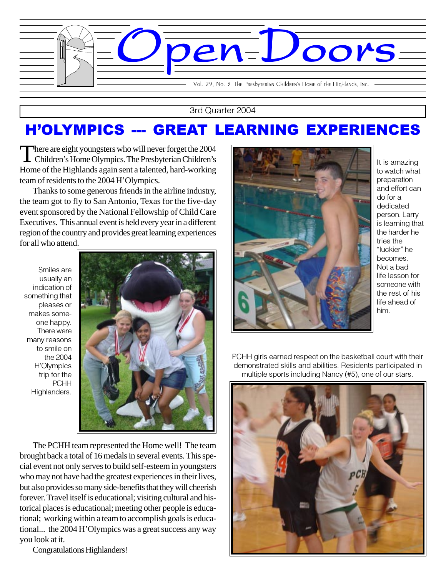

3rd Quarter 2004

## H'OLYMPICS --- GREAT LEARNING EXPERIENCES

There are eight youngsters who will never forget the 2004<br>Children's Home Olympics. The Presbyterian Children's Home of the Highlands again sent a talented, hard-working team of residents to the 2004 H'Olympics.

Thanks to some generous friends in the airline industry, the team got to fly to San Antonio, Texas for the five-day event sponsored by the National Fellowship of Child Care Executives. This annual event is held every year in a different region of the country and provides great learning experiences for all who attend.

Smiles are usually an indication of something that pleases or makes someone happy. There were many reasons to smile on the 2004 H'Olympics trip for the **PCHH** Highlanders.



The PCHH team represented the Home well! The team brought back a total of 16 medals in several events. This special event not only serves to build self-esteem in youngsters who may not have had the greatest experiences in their lives, but also provides so many side-benefits that they will cheerish forever. Travel itself is educational; visiting cultural and historical places is educational; meeting other people is educational; working within a team to accomplish goals is educational... the 2004 H'Olympics was a great success any way you look at it.

Congratulations Highlanders!



It is amazing to watch what preparation and effort can do for a dedicated person. Larry is learning that the harder he tries the "luckier" he becomes. Not a bad life lesson for someone with the rest of his life ahead of him.

PCHH girls earned respect on the basketball court with their demonstrated skills and abilities. Residents participated in multiple sports including Nancy (#5), one of our stars.

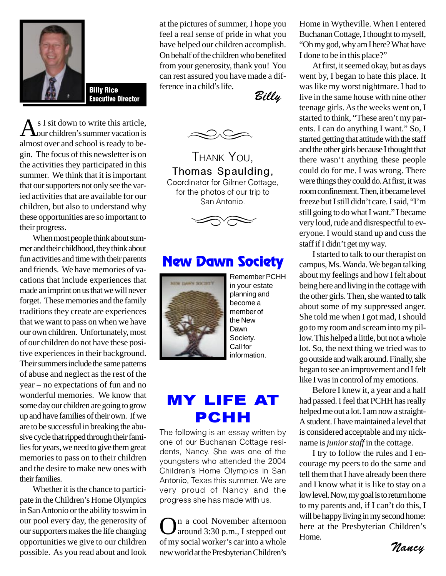

Billy Rice  $\mathcal{E}^{\text{recrete mean}}$  a ching is the  $\mathcal{E}$ illy  $\mathcal{E}$ 

s I sit down to write this article, our children's summer vacation is almost over and school is ready to begin. The focus of this newsletter is on the activities they participated in this summer. We think that it is important that our supporters not only see the varied activities that are available for our children, but also to understand why these opportunities are so important to their progress.

When most people think about summer and their childhood, they think about fun activities and time with their parents and friends. We have memories of vacations that include experiences that made an imprint on us that we will never forget. These memories and the family traditions they create are experiences that we want to pass on when we have our own children. Unfortunately, most of our children do not have these positive experiences in their background. Their summers include the same patterns of abuse and neglect as the rest of the year – no expectations of fun and no wonderful memories. We know that some day our children are going to grow up and have families of their own. If we are to be successful in breaking the abusive cycle that ripped through their families for years, we need to give them great memories to pass on to their children and the desire to make new ones with their families.

Whether it is the chance to participate in the Children's Home Olympics in San Antonio or the ability to swim in our pool every day, the generosity of our supporters makes the life changing opportunities we give to our children possible. As you read about and look at the pictures of summer, I hope you feel a real sense of pride in what you have helped our children accomplish. On behalf of the children who benefited from your generosity, thank you! You can rest assured you have made a difference in a child's life.



THANK YOU, Thomas Spaulding, Coordinator for Gilmer Cottage, for the photos of our trip to San Antonio.



### New Dawn Society



Remember PCHH in your estate planning and become a member of the New Dawn Society. Call for information.

## MY LIFE AT PCHH

The following is an essay written by one of our Buchanan Cottage residents, Nancy. She was one of the youngsters who attended the 2004 Children's Home Olympics in San Antonio, Texas this summer. We are very proud of Nancy and the progress she has made with us.

On a cool November afternoon around 3:30 p.m., I stepped out of my social worker's car into a whole new world at the Presbyterian Children's

Home in Wytheville. When I entered Buchanan Cottage, I thought to myself, "Oh my god, why am I here? What have I done to be in this place?"

At first, it seemed okay, but as days went by, I began to hate this place. It was like my worst nightmare. I had to live in the same house with nine other teenage girls. As the weeks went on, I started to think, "These aren't my parents. I can do anything I want." So, I started getting that attitude with the staff and the other girls because I thought that there wasn't anything these people could do for me. I was wrong. There were things they could do. At first, it was room confinement. Then, it became level freeze but I still didn't care. I said, "I'm still going to do what I want." I became very loud, rude and disrespectful to everyone. I would stand up and cuss the staff if I didn't get my way.

campus, Ms. Wanda. We began talking<br>about my feelings and how I felt about I started to talk to our therapist on campus, Ms. Wanda. We began talking being here and living in the cottage with the other girls. Then, she wanted to talk about some of my suppressed anger. She told me when I got mad, I should go to my room and scream into my pillow. This helped a little, but not a whole lot. So, the next thing we tried was to go outside and walk around. Finally, she began to see an improvement and I felt like I was in control of my emotions.

helped the out a forth and how a straight-<br>A student. I have maintained a level that Before I knew it, a year and a half had passed. I feel that PCHH has really helped me out a lot. I am now a straightis considered acceptable and my nickname is *junior staff* in the cottage.

here at the Presbyterian Children's I try to follow the rules and I encourage my peers to do the same and tell them that I have already been there and I know what it is like to stay on a low level. Now, my goal is to return home to my parents and, if I can't do this, I will be happy living in my second home: Home.

Nancy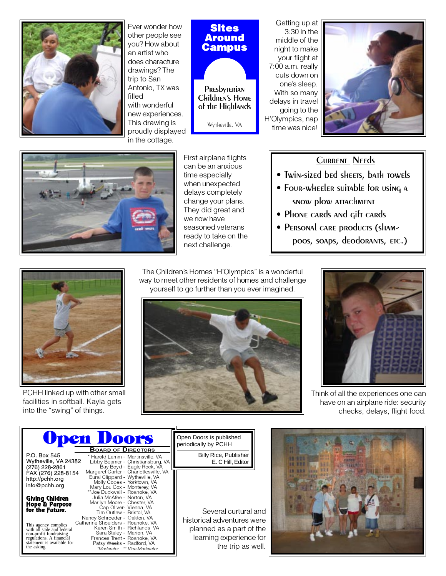

Ever wonder how other people see you? How about an artist who does characture drawings? The trip to San Antonio, TX was filled with wonderful new experiences. This drawing is proudly displayed in the cottage.

#### **Sites** Around **Campus**

**PRES**byterian Children's Home of the Highlands

Wytheville, VA

Getting up at 3:30 in the middle of the night to make your flight at 7:00 a.m. really cuts down on one's sleep. With so many delays in travel going to the H'Olympics, nap time was nice!





First airplane flights can be an anxious time especially when unexpected delays completely change your plans. They did great and we now have seasoned veterans ready to take on the next challenge.

#### Current Needs

- Twin-sized bed sheets, bath towels
- Four-wheeler suitable for using a snow plow attachment
- Phone cards and gift cards
- PERSONAL CARE PROdUCTS (SHAMpoos, soaps, deodorants, etc.)



PCHH linked up with other small facilities in softball. Kayla gets into the "swing" of things.

The Children's Homes "H'Olympics" is a wonderful way to meet other residents of homes and challenge yourself to go further than you ever imagined.





Think of all the experiences one can have on an airplane ride: security checks, delays, flight food.

|                                                                                                                                                       | <b>Upen Doors</b>                                                                                                                                                                                                        | Open Doors is published<br>periodically by PCHH                                                        |
|-------------------------------------------------------------------------------------------------------------------------------------------------------|--------------------------------------------------------------------------------------------------------------------------------------------------------------------------------------------------------------------------|--------------------------------------------------------------------------------------------------------|
| P.O. Box 545<br>Wytheville, VA 24382<br>(276) 228-2861                                                                                                | <b>BOARD OF DIRECTORS</b><br>* Harold Lamm - Martinsville, VA<br>Libby Beamer - Christiansburg, VA<br>Bay Boyd - Eagle Rock, VA                                                                                          | <b>Billy Rice, Publisher</b><br>E. C Hill, Editor                                                      |
| FAX (276) 228-8154<br>http://pchh.org<br>info@pchh.org                                                                                                | Margaret Carter - Charlottesville, VA<br>Eural Clippard - Wytheville, VA<br>Molly Copes - Yorktown, VA<br>Mary Lou Cox - Monterey, VA                                                                                    |                                                                                                        |
| <b>Giving Children</b><br>Hope & Parpose<br>for the Fatare.                                                                                           | **Joe Duckwall - Roanoke. VA<br>Julia McAfee - Norton, VA<br>Marilyn Moore - Chester, VA<br>Cap Oliver- Vienna, VA<br>Tim Outlaw - Bristol, VA                                                                           | Several curtural and                                                                                   |
| This agency complies<br>with all state and federal<br>non-profit fundraising<br>regulations. A financial<br>statement is available for<br>the asking. | Nancy Schroeder - Oakton, VA<br>Catherine Shoulders - Roanoke, VA<br>Karen Smith - Richlands, VA<br>Sara Staley - Marion, VA<br>Frances Trent - Roanoke, VA<br>Patsy Weeks - Radford, VA<br>*Moderator ** Vice-Moderator | historical adventures were<br>planned as a part of the<br>learning experience for<br>the trip as well. |

| в<br>Ç,<br>. . | и<br>и<br>甜<br>開始<br>535<br>111<br>ш<br><b>RRA</b><br>1111<br>ш<br>115 | a,<br>٦<br>ë<br>599<br><b>EMAND</b><br>o<br><b><i><u>FRAKEE</u></i></b><br>Е | 98  |
|----------------|------------------------------------------------------------------------|------------------------------------------------------------------------------|-----|
|                | 荤                                                                      |                                                                              | - 2 |